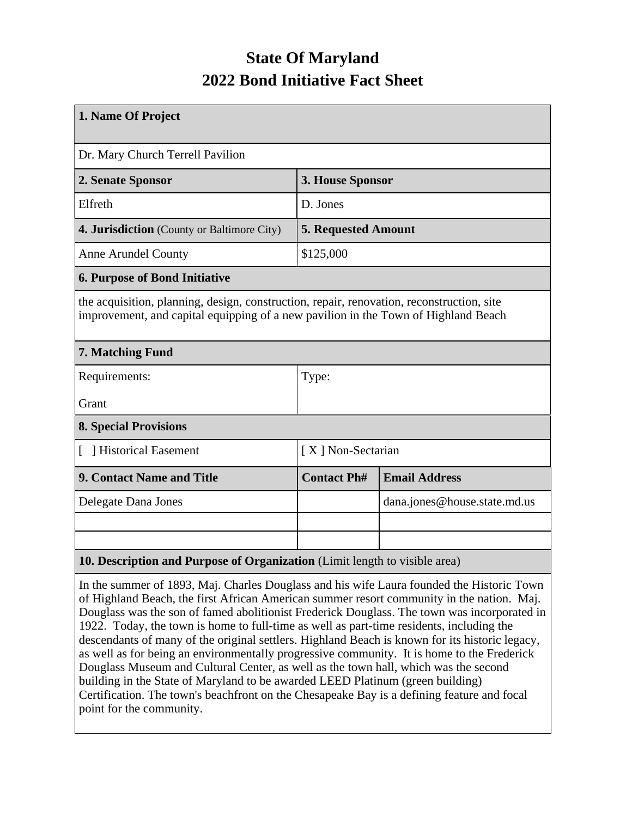## **State Of Maryland 2022 Bond Initiative Fact Sheet**

| 1. Name Of Project                                                                                                                                                              |                            |                              |  |  |  |  |  |
|---------------------------------------------------------------------------------------------------------------------------------------------------------------------------------|----------------------------|------------------------------|--|--|--|--|--|
| Dr. Mary Church Terrell Pavilion                                                                                                                                                |                            |                              |  |  |  |  |  |
| 2. Senate Sponsor                                                                                                                                                               | 3. House Sponsor           |                              |  |  |  |  |  |
| Elfreth                                                                                                                                                                         | D. Jones                   |                              |  |  |  |  |  |
| 4. Jurisdiction (County or Baltimore City)                                                                                                                                      | <b>5. Requested Amount</b> |                              |  |  |  |  |  |
| <b>Anne Arundel County</b>                                                                                                                                                      | \$125,000                  |                              |  |  |  |  |  |
| <b>6. Purpose of Bond Initiative</b>                                                                                                                                            |                            |                              |  |  |  |  |  |
| the acquisition, planning, design, construction, repair, renovation, reconstruction, site<br>improvement, and capital equipping of a new pavilion in the Town of Highland Beach |                            |                              |  |  |  |  |  |
| 7. Matching Fund                                                                                                                                                                |                            |                              |  |  |  |  |  |
| Requirements:                                                                                                                                                                   | Type:                      |                              |  |  |  |  |  |
| Grant                                                                                                                                                                           |                            |                              |  |  |  |  |  |
| <b>8. Special Provisions</b>                                                                                                                                                    |                            |                              |  |  |  |  |  |
| [ ] Historical Easement                                                                                                                                                         | [X] Non-Sectarian          |                              |  |  |  |  |  |
| 9. Contact Name and Title                                                                                                                                                       | <b>Contact Ph#</b>         | <b>Email Address</b>         |  |  |  |  |  |
| Delegate Dana Jones                                                                                                                                                             |                            | dana.jones@house.state.md.us |  |  |  |  |  |
|                                                                                                                                                                                 |                            |                              |  |  |  |  |  |
|                                                                                                                                                                                 |                            |                              |  |  |  |  |  |
| 10. Description and Purpose of Organization (Limit length to visible area)                                                                                                      |                            |                              |  |  |  |  |  |

In the summer of 1893, Maj. Charles Douglass and his wife Laura founded the Historic Town of Highland Beach, the first African American summer resort community in the nation. Maj. Douglass was the son of famed abolitionist Frederick Douglass. The town was incorporated in 1922. Today, the town is home to full-time as well as part-time residents, including the descendants of many of the original settlers. Highland Beach is known for its historic legacy, as well as for being an environmentally progressive community. It is home to the Frederick Douglass Museum and Cultural Center, as well as the town hall, which was the second building in the State of Maryland to be awarded LEED Platinum (green building) Certification. The town's beachfront on the Chesapeake Bay is a defining feature and focal point for the community.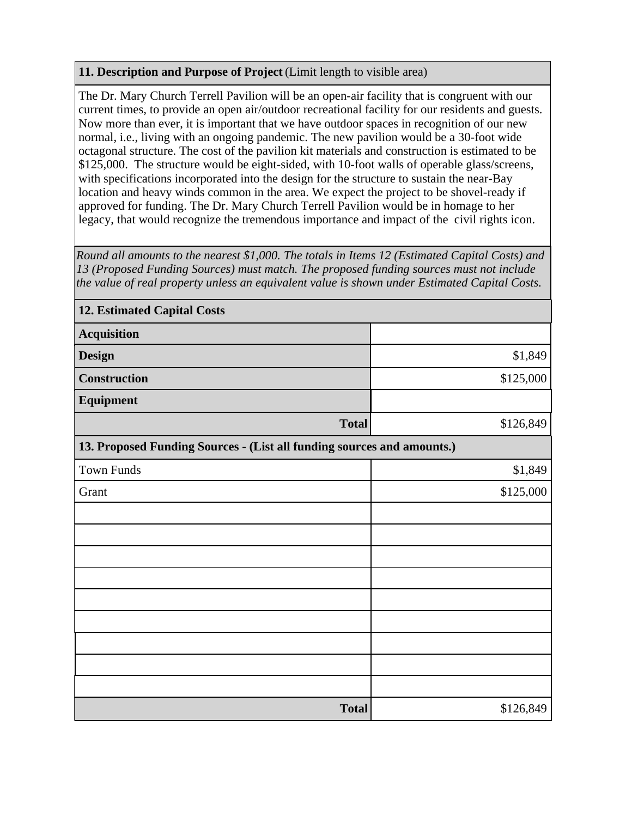## **11. Description and Purpose of Project** (Limit length to visible area)

The Dr. Mary Church Terrell Pavilion will be an open-air facility that is congruent with our current times, to provide an open air/outdoor recreational facility for our residents and guests. Now more than ever, it is important that we have outdoor spaces in recognition of our new normal, i.e., living with an ongoing pandemic. The new pavilion would be a 30-foot wide octagonal structure. The cost of the pavilion kit materials and construction is estimated to be \$125,000. The structure would be eight-sided, with 10-foot walls of operable glass/screens, with specifications incorporated into the design for the structure to sustain the near-Bay location and heavy winds common in the area. We expect the project to be shovel-ready if approved for funding. The Dr. Mary Church Terrell Pavilion would be in homage to her legacy, that would recognize the tremendous importance and impact of the civil rights icon.

*Round all amounts to the nearest \$1,000. The totals in Items 12 (Estimated Capital Costs) and 13 (Proposed Funding Sources) must match. The proposed funding sources must not include the value of real property unless an equivalent value is shown under Estimated Capital Costs.*

| <b>12. Estimated Capital Costs</b>                                     |           |  |  |  |  |  |
|------------------------------------------------------------------------|-----------|--|--|--|--|--|
| <b>Acquisition</b>                                                     |           |  |  |  |  |  |
| <b>Design</b>                                                          | \$1,849   |  |  |  |  |  |
| Construction                                                           | \$125,000 |  |  |  |  |  |
| Equipment                                                              |           |  |  |  |  |  |
| <b>Total</b>                                                           | \$126,849 |  |  |  |  |  |
| 13. Proposed Funding Sources - (List all funding sources and amounts.) |           |  |  |  |  |  |
| <b>Town Funds</b>                                                      | \$1,849   |  |  |  |  |  |
| Grant                                                                  | \$125,000 |  |  |  |  |  |
|                                                                        |           |  |  |  |  |  |
|                                                                        |           |  |  |  |  |  |
|                                                                        |           |  |  |  |  |  |
|                                                                        |           |  |  |  |  |  |
|                                                                        |           |  |  |  |  |  |
|                                                                        |           |  |  |  |  |  |
|                                                                        |           |  |  |  |  |  |
|                                                                        |           |  |  |  |  |  |
|                                                                        |           |  |  |  |  |  |
| <b>Total</b>                                                           | \$126,849 |  |  |  |  |  |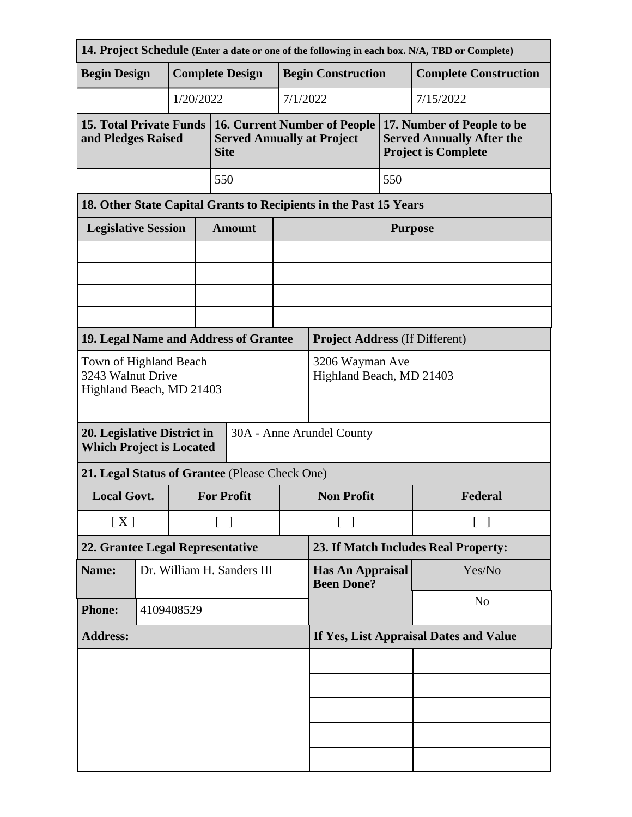| 14. Project Schedule (Enter a date or one of the following in each box. N/A, TBD or Complete) |  |                        |                                   |                                                                                         |                                              |                   |                |                                                                                              |  |
|-----------------------------------------------------------------------------------------------|--|------------------------|-----------------------------------|-----------------------------------------------------------------------------------------|----------------------------------------------|-------------------|----------------|----------------------------------------------------------------------------------------------|--|
| <b>Begin Design</b>                                                                           |  | <b>Complete Design</b> |                                   |                                                                                         | <b>Begin Construction</b>                    |                   |                | <b>Complete Construction</b>                                                                 |  |
|                                                                                               |  | 1/20/2022              | 7/1/2022                          |                                                                                         |                                              |                   | 7/15/2022      |                                                                                              |  |
| <b>15. Total Private Funds</b><br>and Pledges Raised                                          |  |                        |                                   | <b>16. Current Number of People</b><br><b>Served Annually at Project</b><br><b>Site</b> |                                              |                   |                | 17. Number of People to be<br><b>Served Annually After the</b><br><b>Project is Complete</b> |  |
|                                                                                               |  |                        |                                   | 550                                                                                     |                                              |                   | 550            |                                                                                              |  |
| 18. Other State Capital Grants to Recipients in the Past 15 Years                             |  |                        |                                   |                                                                                         |                                              |                   |                |                                                                                              |  |
| <b>Legislative Session</b>                                                                    |  |                        |                                   | <b>Amount</b>                                                                           |                                              |                   | <b>Purpose</b> |                                                                                              |  |
|                                                                                               |  |                        |                                   |                                                                                         |                                              |                   |                |                                                                                              |  |
|                                                                                               |  |                        |                                   |                                                                                         |                                              |                   |                |                                                                                              |  |
|                                                                                               |  |                        |                                   |                                                                                         |                                              |                   |                |                                                                                              |  |
| 19. Legal Name and Address of Grantee<br><b>Project Address (If Different)</b>                |  |                        |                                   |                                                                                         |                                              |                   |                |                                                                                              |  |
| Town of Highland Beach<br>3243 Walnut Drive<br>Highland Beach, MD 21403                       |  |                        |                                   |                                                                                         | 3206 Wayman Ave<br>Highland Beach, MD 21403  |                   |                |                                                                                              |  |
| 20. Legislative District in<br>30A - Anne Arundel County<br><b>Which Project is Located</b>   |  |                        |                                   |                                                                                         |                                              |                   |                |                                                                                              |  |
| 21. Legal Status of Grantee (Please Check One)                                                |  |                        |                                   |                                                                                         |                                              |                   |                |                                                                                              |  |
| <b>Local Govt.</b>                                                                            |  |                        | <b>For Profit</b>                 |                                                                                         | <b>Non Profit</b>                            |                   | Federal        |                                                                                              |  |
| [X]                                                                                           |  |                        | $\begin{bmatrix} 1 \end{bmatrix}$ |                                                                                         | $\lceil \; \rceil$                           | $\lceil$ $\rceil$ |                |                                                                                              |  |
| 22. Grantee Legal Representative                                                              |  |                        |                                   |                                                                                         | 23. If Match Includes Real Property:         |                   |                |                                                                                              |  |
| Name:                                                                                         |  |                        | Dr. William H. Sanders III        |                                                                                         | <b>Has An Appraisal</b><br><b>Been Done?</b> |                   | Yes/No         |                                                                                              |  |
| <b>Phone:</b>                                                                                 |  | 4109408529             |                                   |                                                                                         |                                              |                   | N <sub>0</sub> |                                                                                              |  |
| <b>Address:</b>                                                                               |  |                        |                                   |                                                                                         | If Yes, List Appraisal Dates and Value       |                   |                |                                                                                              |  |
|                                                                                               |  |                        |                                   |                                                                                         |                                              |                   |                |                                                                                              |  |
|                                                                                               |  |                        |                                   |                                                                                         |                                              |                   |                |                                                                                              |  |
|                                                                                               |  |                        |                                   |                                                                                         |                                              |                   |                |                                                                                              |  |
|                                                                                               |  |                        |                                   |                                                                                         |                                              |                   |                |                                                                                              |  |
|                                                                                               |  |                        |                                   |                                                                                         |                                              |                   |                |                                                                                              |  |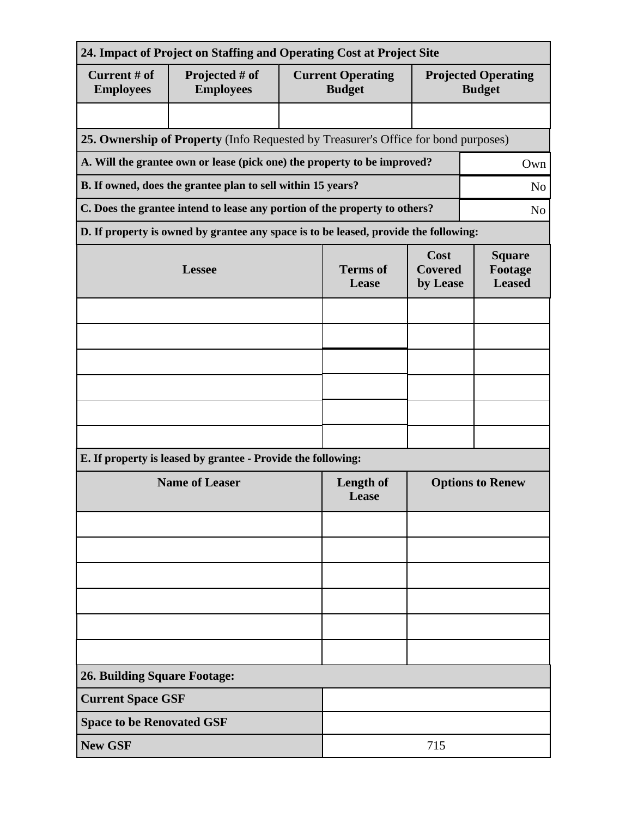| 24. Impact of Project on Staffing and Operating Cost at Project Site                         |                                                                                      |                          |                                           |                                           |                                             |  |  |  |
|----------------------------------------------------------------------------------------------|--------------------------------------------------------------------------------------|--------------------------|-------------------------------------------|-------------------------------------------|---------------------------------------------|--|--|--|
| Current # of<br><b>Employees</b>                                                             | Projected # of<br><b>Employees</b>                                                   |                          | <b>Current Operating</b><br><b>Budget</b> |                                           | <b>Projected Operating</b><br><b>Budget</b> |  |  |  |
|                                                                                              |                                                                                      |                          |                                           |                                           |                                             |  |  |  |
| 25. Ownership of Property (Info Requested by Treasurer's Office for bond purposes)           |                                                                                      |                          |                                           |                                           |                                             |  |  |  |
| A. Will the grantee own or lease (pick one) the property to be improved?<br>Own              |                                                                                      |                          |                                           |                                           |                                             |  |  |  |
| B. If owned, does the grantee plan to sell within 15 years?<br>N <sub>o</sub>                |                                                                                      |                          |                                           |                                           |                                             |  |  |  |
| C. Does the grantee intend to lease any portion of the property to others?<br>N <sub>0</sub> |                                                                                      |                          |                                           |                                           |                                             |  |  |  |
|                                                                                              | D. If property is owned by grantee any space is to be leased, provide the following: |                          |                                           |                                           |                                             |  |  |  |
|                                                                                              | <b>Lessee</b>                                                                        | <b>Terms</b> of<br>Lease | Cost<br><b>Covered</b><br>by Lease        | <b>Square</b><br>Footage<br><b>Leased</b> |                                             |  |  |  |
|                                                                                              |                                                                                      |                          |                                           |                                           |                                             |  |  |  |
|                                                                                              |                                                                                      |                          |                                           |                                           |                                             |  |  |  |
|                                                                                              |                                                                                      |                          |                                           |                                           |                                             |  |  |  |
|                                                                                              |                                                                                      |                          |                                           |                                           |                                             |  |  |  |
|                                                                                              |                                                                                      |                          |                                           |                                           |                                             |  |  |  |
|                                                                                              |                                                                                      |                          |                                           |                                           |                                             |  |  |  |
|                                                                                              | E. If property is leased by grantee - Provide the following:                         |                          |                                           |                                           |                                             |  |  |  |
| <b>Name of Leaser</b>                                                                        |                                                                                      |                          | Length of<br>Lease                        | <b>Options to Renew</b>                   |                                             |  |  |  |
|                                                                                              |                                                                                      |                          |                                           |                                           |                                             |  |  |  |
|                                                                                              |                                                                                      |                          |                                           |                                           |                                             |  |  |  |
|                                                                                              |                                                                                      |                          |                                           |                                           |                                             |  |  |  |
|                                                                                              |                                                                                      |                          |                                           |                                           |                                             |  |  |  |
|                                                                                              |                                                                                      |                          |                                           |                                           |                                             |  |  |  |
|                                                                                              |                                                                                      |                          |                                           |                                           |                                             |  |  |  |
| <b>26. Building Square Footage:</b>                                                          |                                                                                      |                          |                                           |                                           |                                             |  |  |  |
| <b>Current Space GSF</b>                                                                     |                                                                                      |                          |                                           |                                           |                                             |  |  |  |
| <b>Space to be Renovated GSF</b>                                                             |                                                                                      |                          |                                           |                                           |                                             |  |  |  |
| <b>New GSF</b>                                                                               |                                                                                      | 715                      |                                           |                                           |                                             |  |  |  |